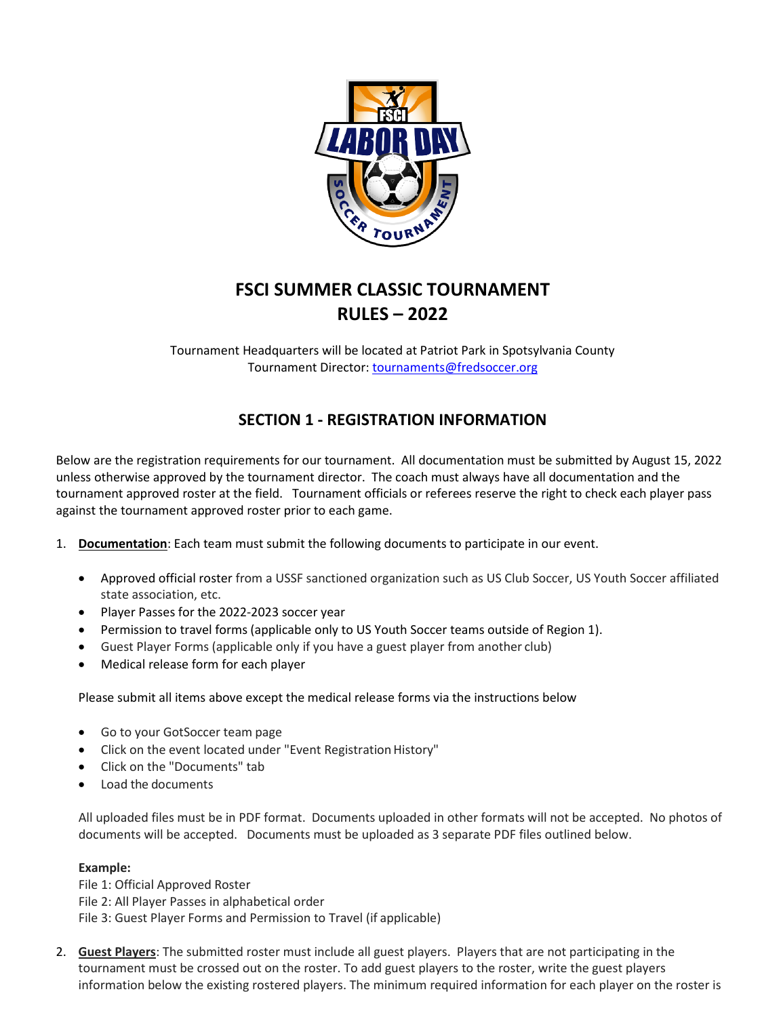

# **FSCI SUMMER CLASSIC TOURNAMENT RULES – 2022**

Tournament Headquarters will be located at Patriot Park in Spotsylvania County Tournament Director: [tournaments@fredsoccer.org](mailto:tournaments@fredsoccer.org)

# **SECTION 1 - REGISTRATION INFORMATION**

Below are the registration requirements for our tournament. All documentation must be submitted by August 15, 2022 unless otherwise approved by the tournament director. The coach must always have all documentation and the tournament approved roster at the field. Tournament officials or referees reserve the right to check each player pass against the tournament approved roster prior to each game.

- 1. **Documentation**: Each team must submit the following documents to participate in our event.
	- Approved official roster from a USSF sanctioned organization such as US Club Soccer, US Youth Soccer affiliated state association, etc.
	- Player Passes for the 2022-2023 soccer year
	- Permission to travel forms (applicable only to US Youth Soccer teams outside of Region 1).
	- Guest Player Forms (applicable only if you have a guest player from another club)
	- Medical release form for each player

Please submit all items above except the medical release forms via the instructions below

- Go to your GotSoccer team page
- Click on the event located under "Event Registration History"
- Click on the "Documents" tab
- Load the documents

All uploaded files must be in PDF format. Documents uploaded in other formats will not be accepted. No photos of documents will be accepted. Documents must be uploaded as 3 separate PDF files outlined below.

#### **Example:**

File 1: Official Approved Roster File 2: All Player Passes in alphabetical order File 3: Guest Player Forms and Permission to Travel (if applicable)

2. **Guest Players**: The submitted roster must include all guest players. Players that are not participating in the tournament must be crossed out on the roster. To add guest players to the roster, write the guest players information below the existing rostered players. The minimum required information for each player on the roster is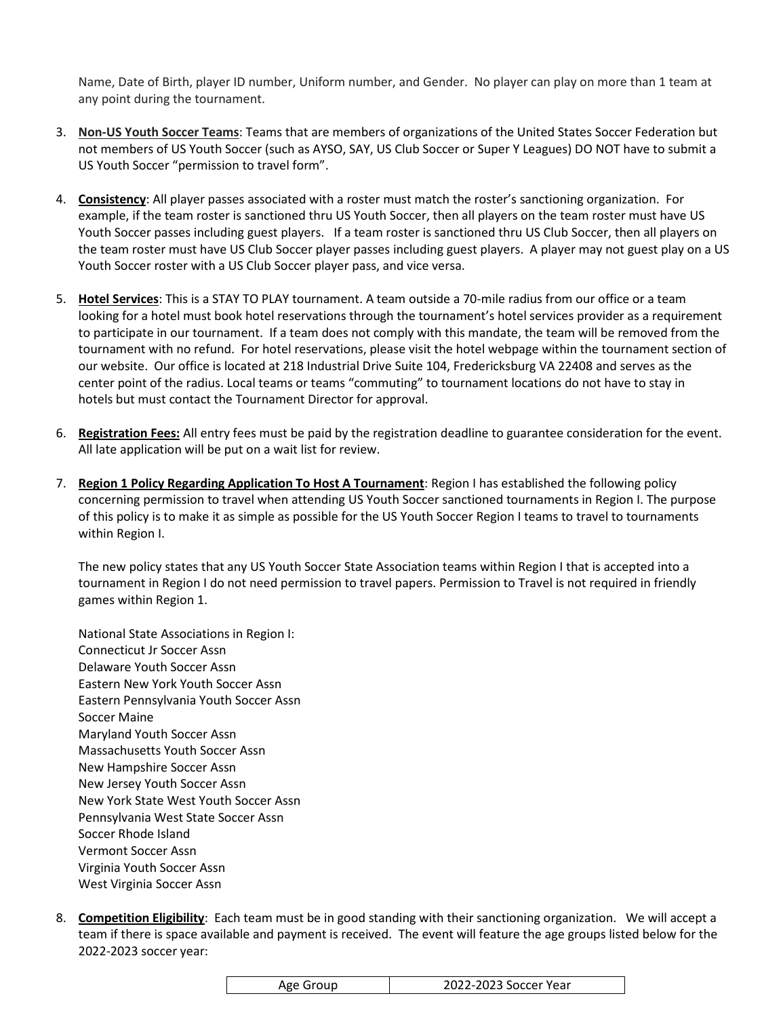Name, Date of Birth, player ID number, Uniform number, and Gender. No player can play on more than 1 team at any point during the tournament.

- 3. **Non-US Youth Soccer Teams**: Teams that are members of organizations of the United States Soccer Federation but not members of US Youth Soccer (such as AYSO, SAY, US Club Soccer or Super Y Leagues) DO NOT have to submit a US Youth Soccer "permission to travel form".
- 4. **Consistency**: All player passes associated with a roster must match the roster's sanctioning organization. For example, if the team roster is sanctioned thru US Youth Soccer, then all players on the team roster must have US Youth Soccer passes including guest players. If a team roster is sanctioned thru US Club Soccer, then all players on the team roster must have US Club Soccer player passes including guest players. A player may not guest play on a US Youth Soccer roster with a US Club Soccer player pass, and vice versa.
- 5. **Hotel Services**: This is a STAY TO PLAY tournament. A team outside a 70-mile radius from our office or a team looking for a hotel must book hotel reservations through the tournament's hotel services provider as a requirement to participate in our tournament. If a team does not comply with this mandate, the team will be removed from the tournament with no refund. For hotel reservations, please visit the hotel webpage within the tournament section of our website. Our office is located at 218 Industrial Drive Suite 104, Fredericksburg VA 22408 and serves as the center point of the radius. Local teams or teams "commuting" to tournament locations do not have to stay in hotels but must contact the Tournament Director for approval.
- 6. **Registration Fees:** All entry fees must be paid by the registration deadline to guarantee consideration for the event. All late application will be put on a wait list for review.
- 7. **Region 1 Policy Regarding Application To Host A Tournament**: Region I has established the following policy concerning permission to travel when attending US Youth Soccer sanctioned tournaments in Region I. The purpose of this policy is to make it as simple as possible for the US Youth Soccer Region I teams to travel to tournaments within Region I.

The new policy states that any US Youth Soccer State Association teams within Region I that is accepted into a tournament in Region I do not need permission to travel papers. Permission to Travel is not required in friendly games within Region 1.

National State Associations in Region I: Connecticut Jr Soccer Assn Delaware Youth Soccer Assn Eastern New York Youth Soccer Assn Eastern Pennsylvania Youth Soccer Assn Soccer Maine Maryland Youth Soccer Assn Massachusetts Youth Soccer Assn New Hampshire Soccer Assn New Jersey Youth Soccer Assn New York State West Youth Soccer Assn Pennsylvania West State Soccer Assn Soccer Rhode Island Vermont Soccer Assn Virginia Youth Soccer Assn West Virginia Soccer Assn

8. **Competition Eligibility**: Each team must be in good standing with their sanctioning organization. We will accept a team if there is space available and payment is received. The event will feature the age groups listed below for the 2022-2023 soccer year:

|--|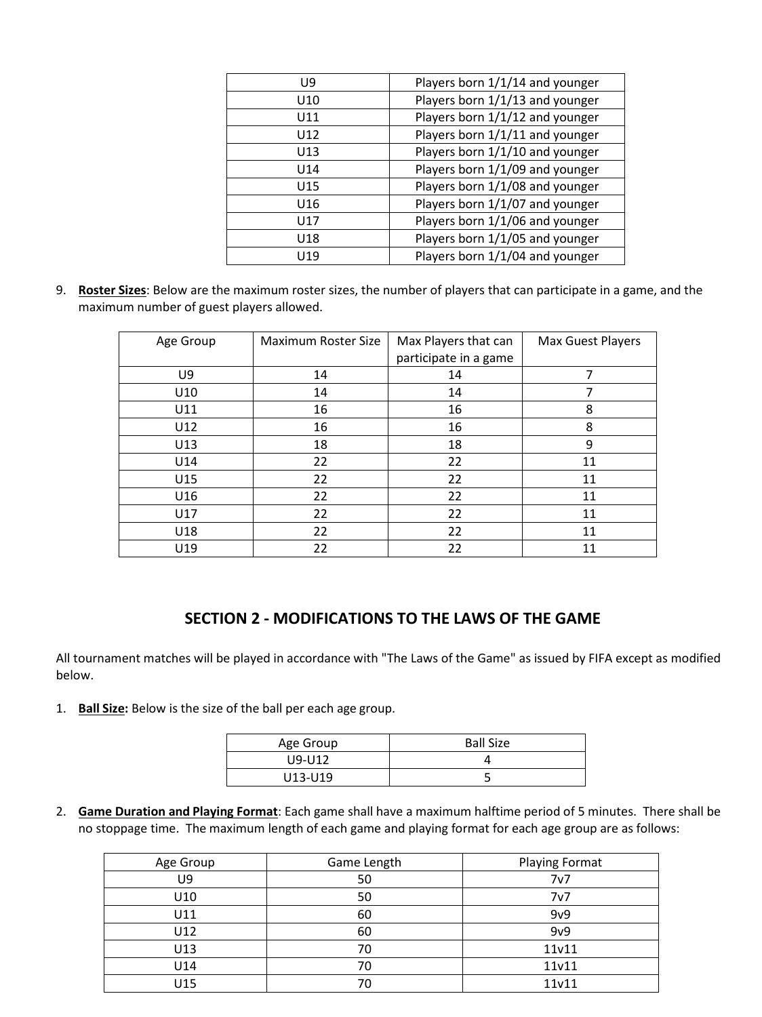| U9  | Players born 1/1/14 and younger |
|-----|---------------------------------|
| U10 | Players born 1/1/13 and younger |
| U11 | Players born 1/1/12 and younger |
| U12 | Players born 1/1/11 and younger |
| U13 | Players born 1/1/10 and younger |
| U14 | Players born 1/1/09 and younger |
| U15 | Players born 1/1/08 and younger |
| U16 | Players born 1/1/07 and younger |
| U17 | Players born 1/1/06 and younger |
| U18 | Players born 1/1/05 and younger |
| U19 | Players born 1/1/04 and younger |

9. **Roster Sizes**: Below are the maximum roster sizes, the number of players that can participate in a game, and the maximum number of guest players allowed.

| Age Group | Maximum Roster Size | Max Players that can  | Max Guest Players |
|-----------|---------------------|-----------------------|-------------------|
|           |                     | participate in a game |                   |
| U9        | 14                  | 14                    | 7                 |
| U10       | 14                  | 14                    |                   |
| U11       | 16                  | 16                    | 8                 |
| U12       | 16                  | 16                    | 8                 |
| U13       | 18                  | 18                    | 9                 |
| U14       | 22                  | 22                    | 11                |
| U15       | 22                  | 22                    | 11                |
| U16       | 22                  | 22                    | 11                |
| U17       | 22                  | 22                    | 11                |
| U18       | 22                  | 22                    | 11                |
| U19       | 22                  | 22                    | 11                |

### **SECTION 2 - MODIFICATIONS TO THE LAWS OF THE GAME**

All tournament matches will be played in accordance with "The Laws of the Game" as issued by FIFA except as modified below.

1. **Ball Size:** Below is the size of the ball per each age group.

| Age Group | <b>Ball Size</b> |
|-----------|------------------|
| U9-U12    |                  |
| U13-U19   |                  |

2. **Game Duration and Playing Format**: Each game shall have a maximum halftime period of 5 minutes. There shall be no stoppage time. The maximum length of each game and playing format for each age group are as follows:

| Age Group | Game Length | <b>Playing Format</b> |
|-----------|-------------|-----------------------|
| U9        | 50          | 7v7                   |
| U10       | 50          | 7v7                   |
| U11       | 60          | 9v9                   |
| U12       | 60          | 9v9                   |
| U13       | 70          | 11v11                 |
| U14       | 70          | 11v11                 |
| U15       |             | 11v11                 |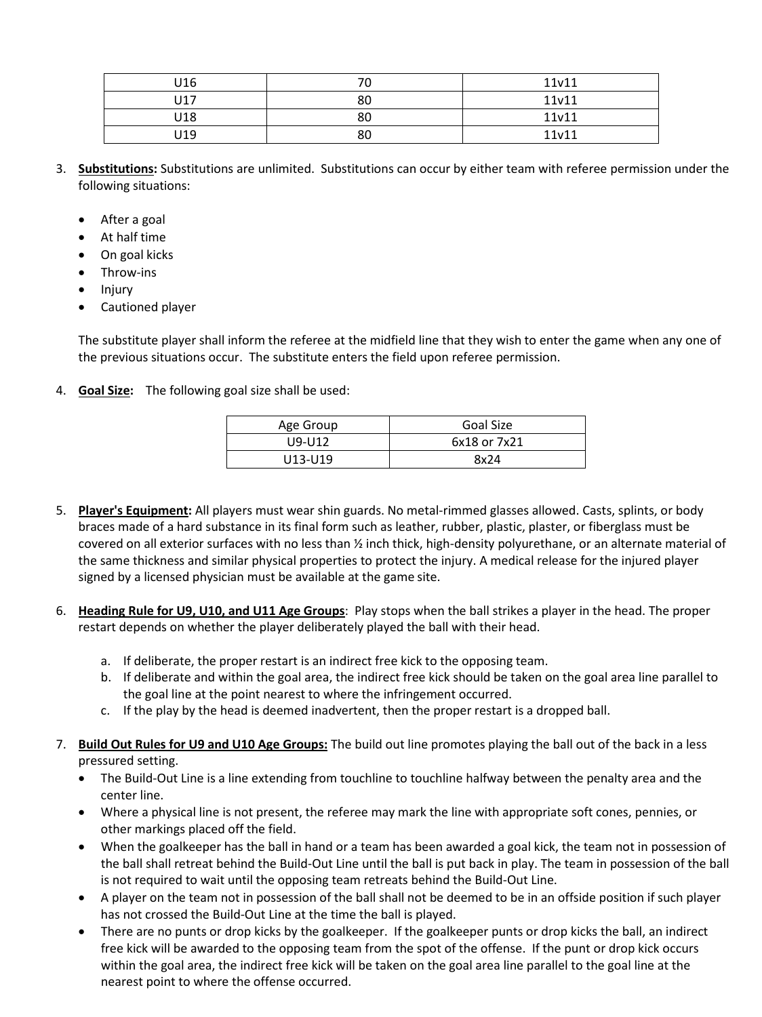| U16 |    | 11v11 |
|-----|----|-------|
| U17 | 80 | 11v11 |
| U18 | 80 | 11v11 |
| U19 | 80 | 11v11 |

- 3. **Substitutions:** Substitutions are unlimited. Substitutions can occur by either team with referee permission under the following situations:
	- After a goal
	- At half time
	- On goal kicks
	- Throw-ins
	- Injury
	- Cautioned player

The substitute player shall inform the referee at the midfield line that they wish to enter the game when any one of the previous situations occur. The substitute enters the field upon referee permission.

4. **Goal Size:** The following goal size shall be used:

| Age Group | Goal Size    |
|-----------|--------------|
| U9-U12    | 6x18 or 7x21 |
| U13-U19   | 8x24         |

- 5. **Player's Equipment:** All players must wear shin guards. No metal-rimmed glasses allowed. Casts, splints, or body braces made of a hard substance in its final form such as leather, rubber, plastic, plaster, or fiberglass must be covered on all exterior surfaces with no less than ½ inch thick, high-density polyurethane, or an alternate material of the same thickness and similar physical properties to protect the injury. A medical release for the injured player signed by a licensed physician must be available at the game site.
- 6. **Heading Rule for U9, U10, and U11 Age Groups**: Play stops when the ball strikes a player in the head. The proper restart depends on whether the player deliberately played the ball with their head.
	- a. If deliberate, the proper restart is an indirect free kick to the opposing team.
	- b. If deliberate and within the goal area, the indirect free kick should be taken on the goal area line parallel to the goal line at the point nearest to where the infringement occurred.
	- c. If the play by the head is deemed inadvertent, then the proper restart is a dropped ball.
- 7. **Build Out Rules for U9 and U10 Age Groups:** The build out line promotes playing the ball out of the back in a less pressured setting.
	- The Build-Out Line is a line extending from touchline to touchline halfway between the penalty area and the center line.
	- Where a physical line is not present, the referee may mark the line with appropriate soft cones, pennies, or other markings placed off the field.
	- When the goalkeeper has the ball in hand or a team has been awarded a goal kick, the team not in possession of the ball shall retreat behind the Build-Out Line until the ball is put back in play. The team in possession of the ball is not required to wait until the opposing team retreats behind the Build-Out Line.
	- A player on the team not in possession of the ball shall not be deemed to be in an offside position if such player has not crossed the Build-Out Line at the time the ball is played.
	- There are no punts or drop kicks by the goalkeeper. If the goalkeeper punts or drop kicks the ball, an indirect free kick will be awarded to the opposing team from the spot of the offense. If the punt or drop kick occurs within the goal area, the indirect free kick will be taken on the goal area line parallel to the goal line at the nearest point to where the offense occurred.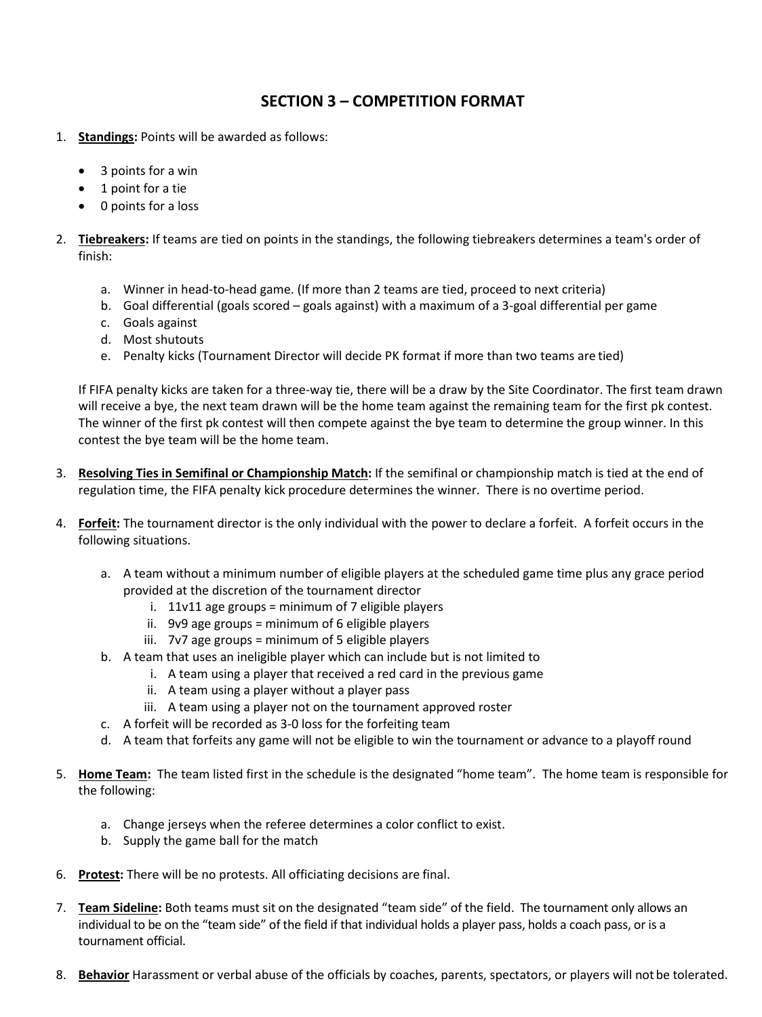## **SECTION 3 – COMPETITION FORMAT**

- 1. **Standings:** Points will be awarded as follows:
	- 3 points for a win
	- 1 point for a tie
	- 0 points for a loss
- 2. **Tiebreakers:** If teams are tied on points in the standings, the following tiebreakers determines a team's order of finish:
	- a. Winner in head-to-head game. (If more than 2 teams are tied, proceed to next criteria)
	- b. Goal differential (goals scored goals against) with a maximum of a 3-goal differential per game
	- c. Goals against
	- d. Most shutouts
	- e. Penalty kicks (Tournament Director will decide PK format if more than two teams are tied)

If FIFA penalty kicks are taken for a three-way tie, there will be a draw by the Site Coordinator. The first team drawn will receive a bye, the next team drawn will be the home team against the remaining team for the first pk contest. The winner of the first pk contest will then compete against the bye team to determine the group winner. In this contest the bye team will be the home team.

- 3. **Resolving Ties in Semifinal or Championship Match:** If the semifinal or championship match is tied at the end of regulation time, the FIFA penalty kick procedure determines the winner. There is no overtime period.
- 4. **Forfeit:** The tournament director is the only individual with the power to declare a forfeit. A forfeit occurs in the following situations.
	- a. A team without a minimum number of eligible players at the scheduled game time plus any grace period provided at the discretion of the tournament director
		- i.  $11v11$  age groups = minimum of 7 eligible players
		- ii. 9v9 age groups = minimum of 6 eligible players
		- iii. 7v7 age groups = minimum of 5 eligible players
	- b. A team that uses an ineligible player which can include but is not limited to
		- i. A team using a player that received a red card in the previous game
			- ii. A team using a player without a player pass
		- iii. A team using a player not on the tournament approved roster
	- c. A forfeit will be recorded as 3-0 loss for the forfeiting team
	- d. A team that forfeits any game will not be eligible to win the tournament or advance to a playoff round
- 5. **Home Team:** The team listed first in the schedule is the designated "home team". The home team is responsible for the following:
	- a. Change jerseys when the referee determines a color conflict to exist.
	- b. Supply the game ball for the match
- 6. **Protest:** There will be no protests. All officiating decisions are final.
- 7. **Team Sideline:** Both teams must sit on the designated "team side" of the field. The tournament only allows an individual to be on the "team side" of the field if that individual holds a player pass, holds a coach pass, or is a tournament official.
- 8. **Behavior** Harassment or verbal abuse of the officials by coaches, parents, spectators, or players will not be tolerated.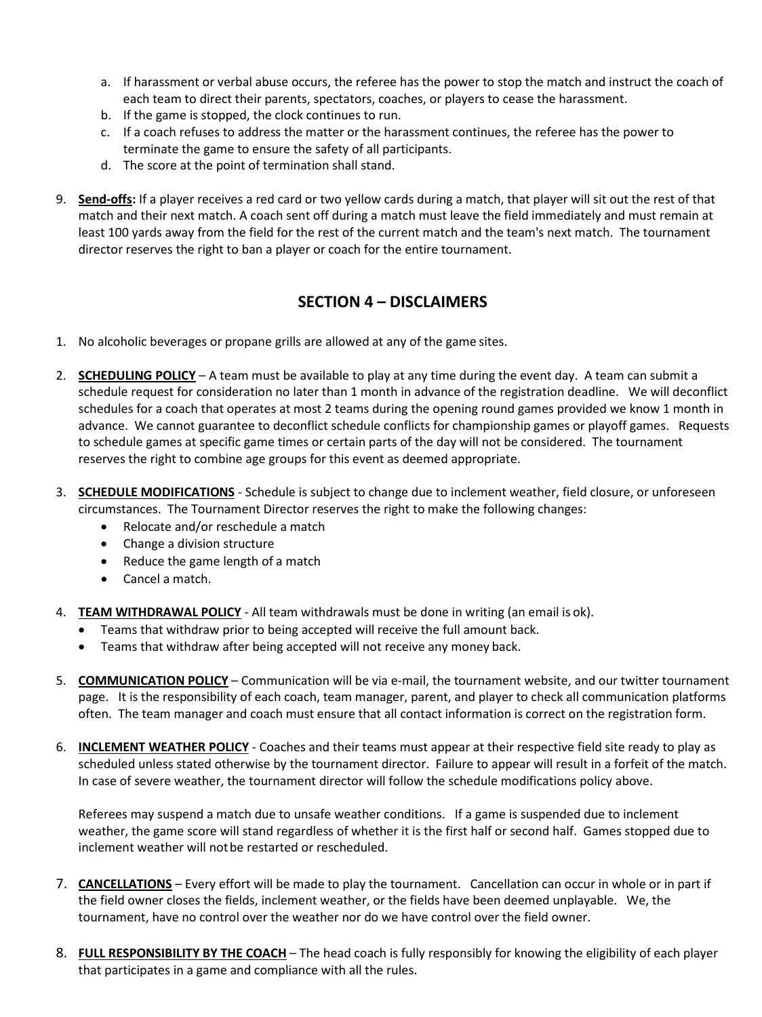- a. If harassment or verbal abuse occurs, the referee has the power to stop the match and instruct the coach of each team to direct their parents, spectators, coaches, or players to cease the harassment.
- b. If the game is stopped, the clock continues to run.
- c. If a coach refuses to address the matter or the harassment continues, the referee has the power to terminate the game to ensure the safety of all participants.
- d. The score at the point of termination shall stand.
- 9. **Send-offs:** If a player receives a red card or two yellow cards during a match, that player will sit out the rest of that match and their next match. A coach sent off during a match must leave the field immediately and must remain at least 100 yards away from the field for the rest of the current match and the team's next match. The tournament director reserves the right to ban a player or coach for the entire tournament.

# **SECTION 4 – DISCLAIMERS**

- 1. No alcoholic beverages or propane grills are allowed at any of the game sites.
- 2. **SCHEDULING POLICY** A team must be available to play at any time during the event day. A team can submit a schedule request for consideration no later than 1 month in advance of the registration deadline. We will deconflict schedules for a coach that operates at most 2 teams during the opening round games provided we know 1 month in advance. We cannot guarantee to deconflict schedule conflicts for championship games or playoff games. Requests to schedule games at specific game times or certain parts of the day will not be considered. The tournament reserves the right to combine age groups for this event as deemed appropriate.
- 3. **SCHEDULE MODIFICATIONS** Schedule is subject to change due to inclement weather, field closure, or unforeseen circumstances. The Tournament Director reserves the right to make the following changes:
	- Relocate and/or reschedule a match
	- Change a division structure
	- Reduce the game length of a match
	- Cancel a match.
- 4. **TEAM WITHDRAWAL POLICY** All team withdrawals must be done in writing (an email is ok).
	- Teams that withdraw prior to being accepted will receive the full amount back.
	- Teams that withdraw after being accepted will not receive any money back.
- 5. **COMMUNICATION POLICY** Communication will be via e-mail, the tournament website, and our twitter tournament page. It is the responsibility of each coach, team manager, parent, and player to check all communication platforms often. The team manager and coach must ensure that all contact information is correct on the registration form.
- 6. **INCLEMENT WEATHER POLICY** Coaches and their teams must appear at their respective field site ready to play as scheduled unless stated otherwise by the tournament director. Failure to appear will result in a forfeit of the match. In case of severe weather, the tournament director will follow the schedule modifications policy above.

Referees may suspend a match due to unsafe weather conditions. If a game is suspended due to inclement weather, the game score will stand regardless of whether it is the first half or second half. Games stopped due to inclement weather will notbe restarted or rescheduled.

- 7. **CANCELLATIONS** Every effort will be made to play the tournament. Cancellation can occur in whole or in part if the field owner closes the fields, inclement weather, or the fields have been deemed unplayable. We, the tournament, have no control over the weather nor do we have control over the field owner.
- 8. **FULL RESPONSIBILITY BY THE COACH** The head coach is fully responsibly for knowing the eligibility of each player that participates in a game and compliance with all the rules.